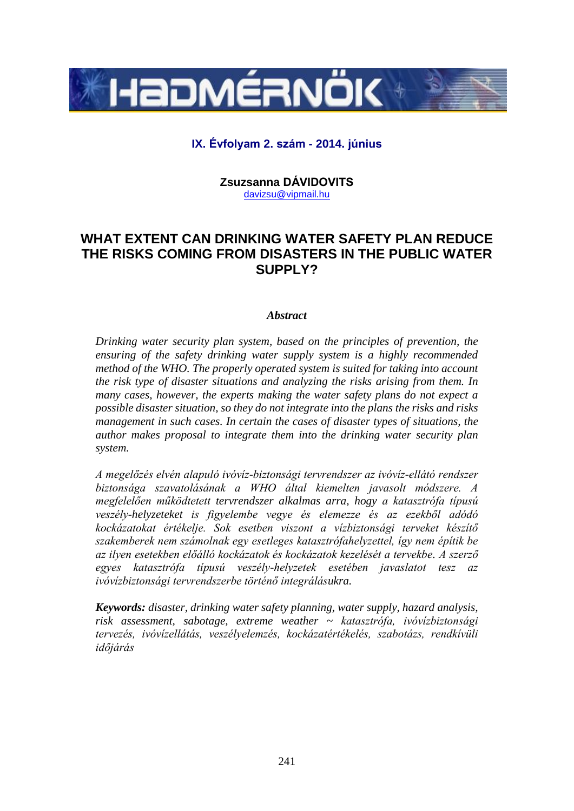

# **IX. Évfolyam 2. szám - 2014. június**

**Zsuzsanna DÁVIDOVITS** davizsu@vipmail.hu

# **WHAT EXTENT CAN DRINKING WATER SAFETY PLAN REDUCE THE RISKS COMING FROM DISASTERS IN THE PUBLIC WATER SUPPLY?**

#### *Abstract*

*Drinking water security plan system, based on the principles of prevention, the ensuring of the safety drinking water supply system is a highly recommended method of the WHO. The properly operated system is suited for taking into account the risk type of disaster situations and analyzing the risks arising from them. In many cases, however, the experts making the water safety plans do not expect a possible disaster situation, so they do not integrate into the plans the risks and risks management in such cases. In certain the cases of disaster types of situations, the author makes proposal to integrate them into the drinking water security plan system.*

*A megelőzés elvén alapuló ivóvíz-biztonsági tervrendszer az ivóvíz-ellátó rendszer biztonsága szavatolásának a WHO által kiemelten javasolt módszere. A megfelelően működtetett tervrendszer alkalmas arra, hogy a katasztrófa típusú veszély-helyzeteket is figyelembe vegye és elemezze és az ezekből adódó kockázatokat értékelje. Sok esetben viszont a vízbiztonsági terveket készítő szakemberek nem számolnak egy esetleges katasztrófahelyzettel, így nem építik be az ilyen esetekben előálló kockázatok és kockázatok kezelését a tervekbe. A szerző egyes katasztrófa típusú veszély-helyzetek esetében javaslatot tesz az ivóvízbiztonsági tervrendszerbe történő integrálásukra.*

*Keywords: disaster, drinking water safety planning, water supply, hazard analysis, risk assessment, sabotage, extreme weather ~ katasztrófa, ivóvízbiztonsági tervezés, ivóvízellátás, veszélyelemzés, kockázatértékelés, szabotázs, rendkívüli időjárás*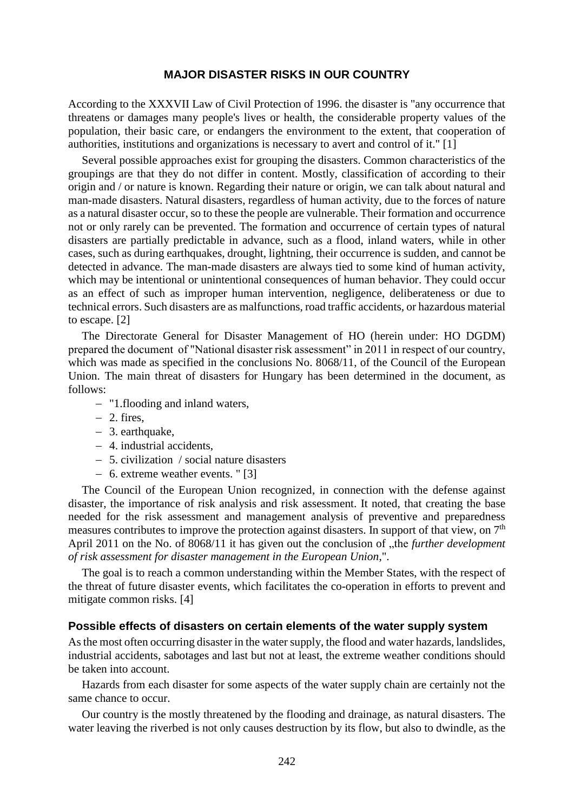#### **MAJOR DISASTER RISKS IN OUR COUNTRY**

According to the XXXVII Law of Civil Protection of 1996. the disaster is "any occurrence that threatens or damages many people's lives or health, the considerable property values of the population, their basic care, or endangers the environment to the extent, that cooperation of authorities, institutions and organizations is necessary to avert and control of it." [1]

Several possible approaches exist for grouping the disasters. Common characteristics of the groupings are that they do not differ in content. Mostly, classification of according to their origin and / or nature is known. Regarding their nature or origin, we can talk about natural and man-made disasters. Natural disasters, regardless of human activity, due to the forces of nature as a natural disaster occur, so to these the people are vulnerable. Their formation and occurrence not or only rarely can be prevented. The formation and occurrence of certain types of natural disasters are partially predictable in advance, such as a flood, inland waters, while in other cases, such as during earthquakes, drought, lightning, their occurrence is sudden, and cannot be detected in advance. The man-made disasters are always tied to some kind of human activity, which may be intentional or unintentional consequences of human behavior. They could occur as an effect of such as improper human intervention, negligence, deliberateness or due to technical errors. Such disasters are as malfunctions, road traffic accidents, or hazardous material to escape. [2]

The Directorate General for Disaster Management of HO (herein under: HO DGDM) prepared the document of "National disaster risk assessment" in 2011 in respect of our country, which was made as specified in the conclusions No. 8068/11, of the Council of the European Union. The main threat of disasters for Hungary has been determined in the document, as follows:

- "1.flooding and inland waters,
- $-2$ . fires,
- 3. earthquake,
- 4. industrial accidents,
- 5. civilization / social nature disasters
- 6. extreme weather events. " [3]

The Council of the European Union recognized, in connection with the defense against disaster, the importance of risk analysis and risk assessment. It noted, that creating the base needed for the risk assessment and management analysis of preventive and preparedness measures contributes to improve the protection against disasters. In support of that view, on  $7<sup>th</sup>$ April 2011 on the No. of 8068/11 it has given out the conclusion of "the *further development of risk assessment for disaster management in the European Union*,".

The goal is to reach a common understanding within the Member States, with the respect of the threat of future disaster events, which facilitates the co-operation in efforts to prevent and mitigate common risks. [4]

#### **Possible effects of disasters on certain elements of the water supply system**

As the most often occurring disaster in the water supply, the flood and water hazards, landslides, industrial accidents, sabotages and last but not at least, the extreme weather conditions should be taken into account.

Hazards from each disaster for some aspects of the water supply chain are certainly not the same chance to occur.

Our country is the mostly threatened by the flooding and drainage, as natural disasters. The water leaving the riverbed is not only causes destruction by its flow, but also to dwindle, as the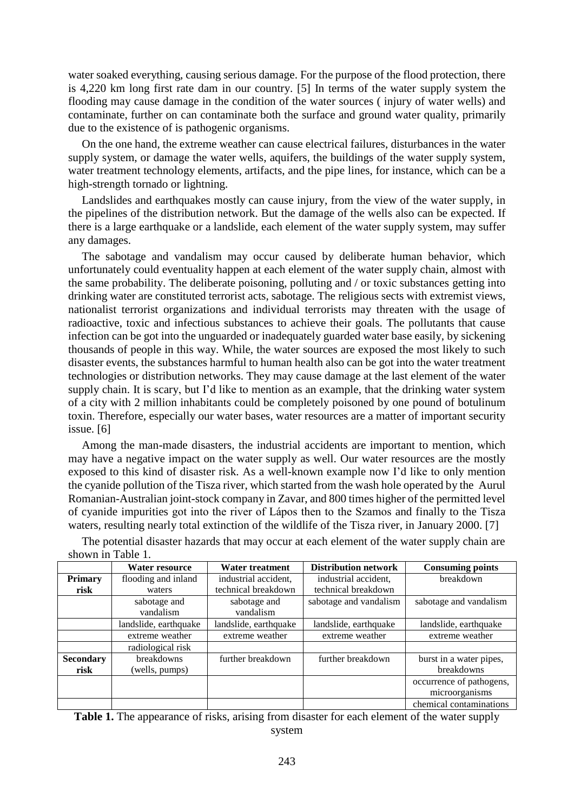water soaked everything, causing serious damage. For the purpose of the flood protection, there is 4,220 km long first rate dam in our country. [5] In terms of the water supply system the flooding may cause damage in the condition of the water sources ( injury of water wells) and contaminate, further on can contaminate both the surface and ground water quality, primarily due to the existence of is pathogenic organisms.

On the one hand, the extreme weather can cause electrical failures, disturbances in the water supply system, or damage the water wells, aquifers, the buildings of the water supply system, water treatment technology elements, artifacts, and the pipe lines, for instance, which can be a high-strength tornado or lightning.

Landslides and earthquakes mostly can cause injury, from the view of the water supply, in the pipelines of the distribution network. But the damage of the wells also can be expected. If there is a large earthquake or a landslide, each element of the water supply system, may suffer any damages.

The sabotage and vandalism may occur caused by deliberate human behavior, which unfortunately could eventuality happen at each element of the water supply chain, almost with the same probability. The deliberate poisoning, polluting and / or toxic substances getting into drinking water are constituted terrorist acts, sabotage. The religious sects with extremist views, nationalist terrorist organizations and individual terrorists may threaten with the usage of radioactive, toxic and infectious substances to achieve their goals. The pollutants that cause infection can be got into the unguarded or inadequately guarded water base easily, by sickening thousands of people in this way. While, the water sources are exposed the most likely to such disaster events, the substances harmful to human health also can be got into the water treatment technologies or distribution networks. They may cause damage at the last element of the water supply chain. It is scary, but I'd like to mention as an example, that the drinking water system of a city with 2 million inhabitants could be completely poisoned by one pound of botulinum toxin. Therefore, especially our water bases, water resources are a matter of important security issue. [6]

Among the man-made disasters, the industrial accidents are important to mention, which may have a negative impact on the water supply as well. Our water resources are the mostly exposed to this kind of disaster risk. As a well-known example now I'd like to only mention the cyanide pollution of the Tisza river, which started from the wash hole operated by the Aurul Romanian-Australian joint-stock company in Zavar, and 800 times higher of the permitted level of cyanide impurities got into the river of Lápos then to the Szamos and finally to the Tisza waters, resulting nearly total extinction of the wildlife of the Tisza river, in January 2000. [7]

|                  | Water resource            | Water treatment           | <b>Distribution network</b> | <b>Consuming points</b>  |
|------------------|---------------------------|---------------------------|-----------------------------|--------------------------|
| Primary          | flooding and inland       | industrial accident,      | industrial accident,        | breakdown                |
| risk             | waters                    | technical breakdown       | technical breakdown         |                          |
|                  | sabotage and<br>vandalism | sabotage and<br>vandalism | sabotage and vandalism      | sabotage and vandalism   |
|                  |                           |                           |                             |                          |
|                  | landslide, earthquake     | landslide, earthquake     | landslide, earthquake       | landslide, earthquake    |
|                  | extreme weather           | extreme weather           | extreme weather             | extreme weather          |
|                  | radiological risk         |                           |                             |                          |
| <b>Secondary</b> | breakdowns                | further breakdown         | further breakdown           | burst in a water pipes,  |
| risk             | (wells, pumps)            |                           |                             | breakdowns               |
|                  |                           |                           |                             | occurrence of pathogens, |
|                  |                           |                           |                             | microorganisms           |
|                  |                           |                           |                             | chemical contaminations  |

The potential disaster hazards that may occur at each element of the water supply chain are shown in Table 1.

**Table 1.** The appearance of risks, arising from disaster for each element of the water supply system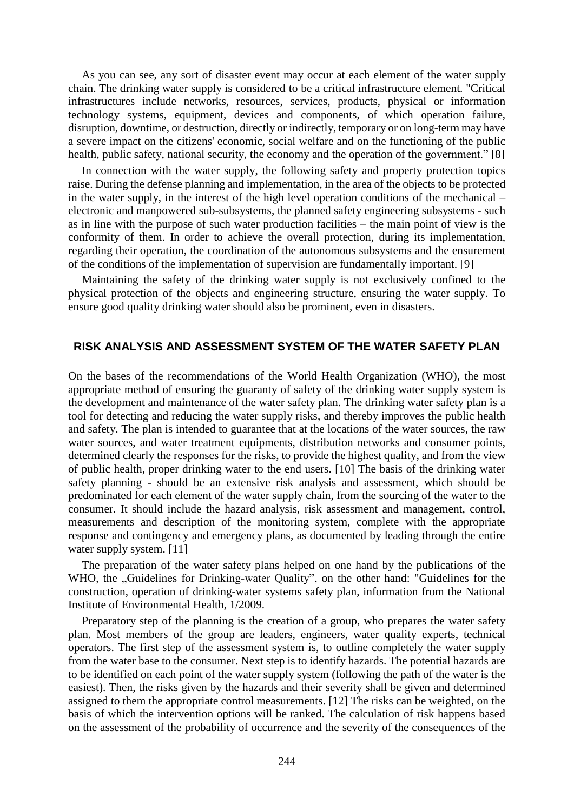As you can see, any sort of disaster event may occur at each element of the water supply chain. The drinking water supply is considered to be a critical infrastructure element. "Critical infrastructures include networks, resources, services, products, physical or information technology systems, equipment, devices and components, of which operation failure, disruption, downtime, or destruction, directly or indirectly, temporary or on long-term may have a severe impact on the citizens' economic, social welfare and on the functioning of the public health, public safety, national security, the economy and the operation of the government." [8]

In connection with the water supply, the following safety and property protection topics raise. During the defense planning and implementation, in the area of the objects to be protected in the water supply, in the interest of the high level operation conditions of the mechanical – electronic and manpowered sub-subsystems, the planned safety engineering subsystems - such as in line with the purpose of such water production facilities – the main point of view is the conformity of them. In order to achieve the overall protection, during its implementation, regarding their operation, the coordination of the autonomous subsystems and the ensurement of the conditions of the implementation of supervision are fundamentally important. [9]

Maintaining the safety of the drinking water supply is not exclusively confined to the physical protection of the objects and engineering structure, ensuring the water supply. To ensure good quality drinking water should also be prominent, even in disasters.

### **RISK ANALYSIS AND ASSESSMENT SYSTEM OF THE WATER SAFETY PLAN**

On the bases of the recommendations of the World Health Organization (WHO), the most appropriate method of ensuring the guaranty of safety of the drinking water supply system is the development and maintenance of the water safety plan. The drinking water safety plan is a tool for detecting and reducing the water supply risks, and thereby improves the public health and safety. The plan is intended to guarantee that at the locations of the water sources, the raw water sources, and water treatment equipments, distribution networks and consumer points, determined clearly the responses for the risks, to provide the highest quality, and from the view of public health, proper drinking water to the end users. [10] The basis of the drinking water safety planning - should be an extensive risk analysis and assessment, which should be predominated for each element of the water supply chain, from the sourcing of the water to the consumer. It should include the hazard analysis, risk assessment and management, control, measurements and description of the monitoring system, complete with the appropriate response and contingency and emergency plans, as documented by leading through the entire water supply system. [11]

The preparation of the water safety plans helped on one hand by the publications of the WHO, the "Guidelines for Drinking-water Quality", on the other hand: "Guidelines for the construction, operation of drinking-water systems safety plan, information from the National Institute of Environmental Health, 1/2009.

Preparatory step of the planning is the creation of a group, who prepares the water safety plan. Most members of the group are leaders, engineers, water quality experts, technical operators. The first step of the assessment system is, to outline completely the water supply from the water base to the consumer. Next step is to identify hazards. The potential hazards are to be identified on each point of the water supply system (following the path of the water is the easiest). Then, the risks given by the hazards and their severity shall be given and determined assigned to them the appropriate control measurements. [12] The risks can be weighted, on the basis of which the intervention options will be ranked. The calculation of risk happens based on the assessment of the probability of occurrence and the severity of the consequences of the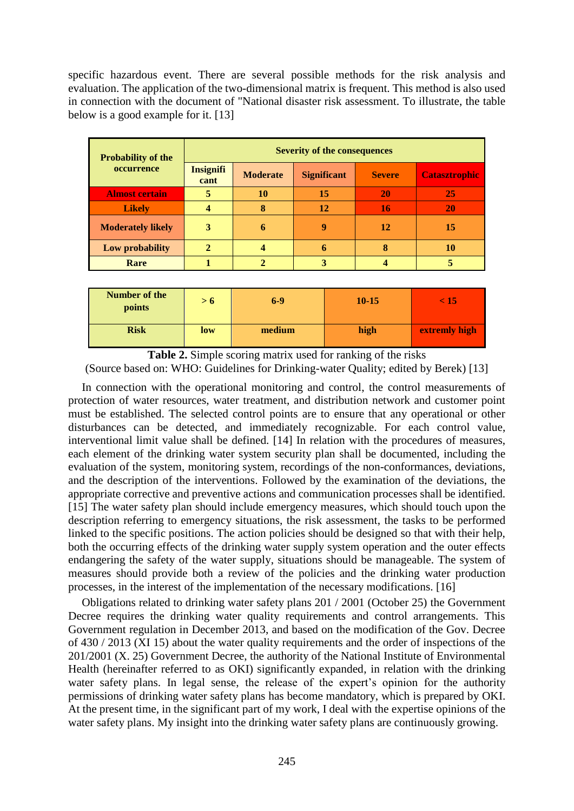specific hazardous event. There are several possible methods for the risk analysis and evaluation. The application of the two-dimensional matrix is frequent. This method is also used in connection with the document of "National disaster risk assessment. To illustrate, the table below is a good example for it. [13]

| <b>Probability of the</b> |                          | <b>Severity of the consequences</b> |                    |               |                      |  |  |  |
|---------------------------|--------------------------|-------------------------------------|--------------------|---------------|----------------------|--|--|--|
| occurrence                | <b>Insignifi</b><br>cant | <b>Moderate</b>                     | <b>Significant</b> | <b>Severe</b> | <b>Catasztrophic</b> |  |  |  |
| <b>Almost certain</b>     | 5                        | 10                                  | 15                 | 20            | 25                   |  |  |  |
| <b>Likely</b>             |                          | 8                                   | 12                 | 16            | <b>20</b>            |  |  |  |
| <b>Moderately likely</b>  | 3                        | 6                                   | q                  | 12            | 15                   |  |  |  |
| Low probability           | $\overline{2}$           |                                     | 6                  | 8             | 10                   |  |  |  |
| Rare                      |                          |                                     |                    |               |                      |  |  |  |

| Number of the<br>points | > 0 | $6-9$  | $10 - 15$ | < 15          |
|-------------------------|-----|--------|-----------|---------------|
| <b>Risk</b>             | low | medium | high      | extremly high |

**Table 2.** Simple scoring matrix used for ranking of the risks (Source based on: WHO: Guidelines for Drinking-water Quality; edited by Berek) [13]

In connection with the operational monitoring and control, the control measurements of protection of water resources, water treatment, and distribution network and customer point must be established. The selected control points are to ensure that any operational or other disturbances can be detected, and immediately recognizable. For each control value, interventional limit value shall be defined. [14] In relation with the procedures of measures, each element of the drinking water system security plan shall be documented, including the evaluation of the system, monitoring system, recordings of the non-conformances, deviations, and the description of the interventions. Followed by the examination of the deviations, the appropriate corrective and preventive actions and communication processes shall be identified. [15] The water safety plan should include emergency measures, which should touch upon the description referring to emergency situations, the risk assessment, the tasks to be performed linked to the specific positions. The action policies should be designed so that with their help, both the occurring effects of the drinking water supply system operation and the outer effects endangering the safety of the water supply, situations should be manageable. The system of measures should provide both a review of the policies and the drinking water production processes, in the interest of the implementation of the necessary modifications. [16]

Obligations related to drinking water safety plans 201 / 2001 (October 25) the Government Decree requires the drinking water quality requirements and control arrangements. This Government regulation in December 2013, and based on the modification of the Gov. Decree of 430 / 2013 (XI 15) about the water quality requirements and the order of inspections of the 201/2001 (X. 25) Government Decree, the authority of the National Institute of Environmental Health (hereinafter referred to as OKI) significantly expanded, in relation with the drinking water safety plans. In legal sense, the release of the expert's opinion for the authority permissions of drinking water safety plans has become mandatory, which is prepared by OKI. At the present time, in the significant part of my work, I deal with the expertise opinions of the water safety plans. My insight into the drinking water safety plans are continuously growing.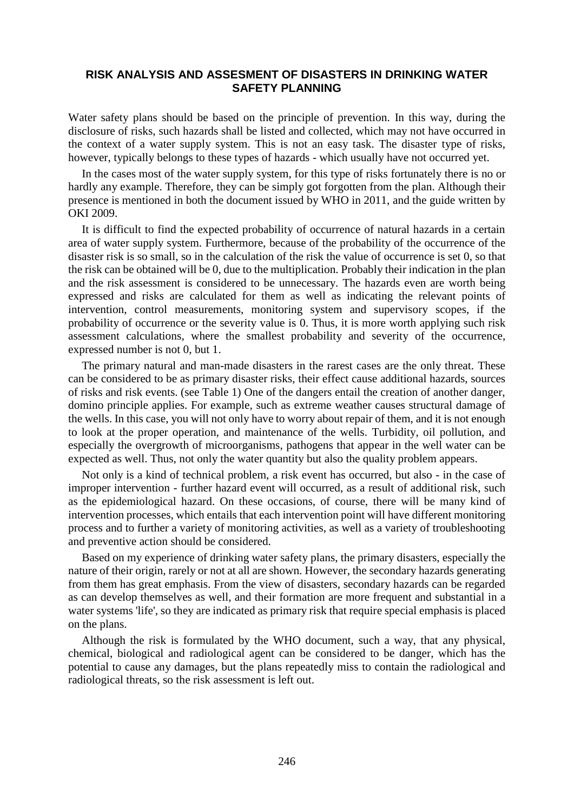### **RISK ANALYSIS AND ASSESMENT OF DISASTERS IN DRINKING WATER SAFETY PLANNING**

Water safety plans should be based on the principle of prevention. In this way, during the disclosure of risks, such hazards shall be listed and collected, which may not have occurred in the context of a water supply system. This is not an easy task. The disaster type of risks, however, typically belongs to these types of hazards - which usually have not occurred yet.

In the cases most of the water supply system, for this type of risks fortunately there is no or hardly any example. Therefore, they can be simply got forgotten from the plan. Although their presence is mentioned in both the document issued by WHO in 2011, and the guide written by OKI 2009.

It is difficult to find the expected probability of occurrence of natural hazards in a certain area of water supply system. Furthermore, because of the probability of the occurrence of the disaster risk is so small, so in the calculation of the risk the value of occurrence is set 0, so that the risk can be obtained will be 0, due to the multiplication. Probably their indication in the plan and the risk assessment is considered to be unnecessary. The hazards even are worth being expressed and risks are calculated for them as well as indicating the relevant points of intervention, control measurements, monitoring system and supervisory scopes, if the probability of occurrence or the severity value is 0. Thus, it is more worth applying such risk assessment calculations, where the smallest probability and severity of the occurrence, expressed number is not 0, but 1.

The primary natural and man-made disasters in the rarest cases are the only threat. These can be considered to be as primary disaster risks, their effect cause additional hazards, sources of risks and risk events. (see Table 1) One of the dangers entail the creation of another danger, domino principle applies. For example, such as extreme weather causes structural damage of the wells. In this case, you will not only have to worry about repair of them, and it is not enough to look at the proper operation, and maintenance of the wells. Turbidity, oil pollution, and especially the overgrowth of microorganisms, pathogens that appear in the well water can be expected as well. Thus, not only the water quantity but also the quality problem appears.

Not only is a kind of technical problem, a risk event has occurred, but also - in the case of improper intervention - further hazard event will occurred, as a result of additional risk, such as the epidemiological hazard. On these occasions, of course, there will be many kind of intervention processes, which entails that each intervention point will have different monitoring process and to further a variety of monitoring activities, as well as a variety of troubleshooting and preventive action should be considered.

Based on my experience of drinking water safety plans, the primary disasters, especially the nature of their origin, rarely or not at all are shown. However, the secondary hazards generating from them has great emphasis. From the view of disasters, secondary hazards can be regarded as can develop themselves as well, and their formation are more frequent and substantial in a water systems 'life', so they are indicated as primary risk that require special emphasis is placed on the plans.

Although the risk is formulated by the WHO document, such a way, that any physical, chemical, biological and radiological agent can be considered to be danger, which has the potential to cause any damages, but the plans repeatedly miss to contain the radiological and radiological threats, so the risk assessment is left out.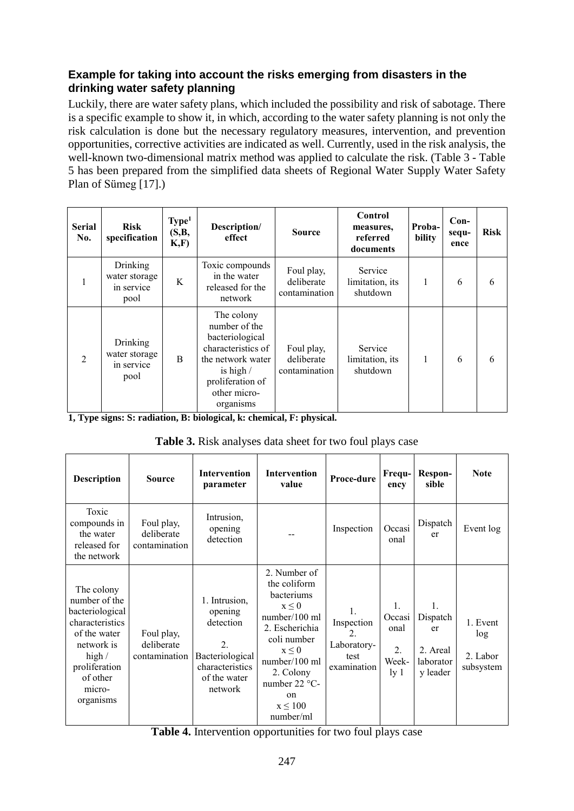# **Example for taking into account the risks emerging from disasters in the drinking water safety planning**

Luckily, there are water safety plans, which included the possibility and risk of sabotage. There is a specific example to show it, in which, according to the water safety planning is not only the risk calculation is done but the necessary regulatory measures, intervention, and prevention opportunities, corrective activities are indicated as well. Currently, used in the risk analysis, the well-known two-dimensional matrix method was applied to calculate the risk. (Table 3 - Table 5 has been prepared from the simplified data sheets of Regional Water Supply Water Safety Plan of Sümeg [17].)

| <b>Serial</b><br>No. | <b>Risk</b><br>specification                    | Type <sup>1</sup><br>(S, B,<br>K, F) | Description/<br>effect                                                                                                                                    | <b>Source</b>                             | Control<br>measures,<br>referred<br>documents | Proba-<br>bility | $Con-$<br>sequ-<br>ence | <b>Risk</b> |
|----------------------|-------------------------------------------------|--------------------------------------|-----------------------------------------------------------------------------------------------------------------------------------------------------------|-------------------------------------------|-----------------------------------------------|------------------|-------------------------|-------------|
|                      | Drinking<br>water storage<br>in service<br>pool | K                                    | Toxic compounds<br>in the water<br>released for the<br>network                                                                                            | Foul play,<br>deliberate<br>contamination | Service<br>limitation, its<br>shutdown        |                  | 6                       | 6           |
| $\overline{2}$       | Drinking<br>water storage<br>in service<br>pool | <sub>B</sub>                         | The colony<br>number of the<br>bacteriological<br>characteristics of<br>the network water<br>is high $/$<br>proliferation of<br>other micro-<br>organisms | Foul play,<br>deliberate<br>contamination | Service<br>limitation, its<br>shutdown        | $\mathbf{1}$     | 6                       | 6           |

**1, Type signs: S: radiation, B: biological, k: chemical, F: physical.**

| Table 3. Risk analyses data sheet for two foul plays case |  |  |  |  |  |
|-----------------------------------------------------------|--|--|--|--|--|
|-----------------------------------------------------------|--|--|--|--|--|

| <b>Description</b>                                                                                                                                              | <b>Source</b>                             | <b>Intervention</b><br>parameter                                                                                         | <b>Intervention</b><br>value                                                                                                                                                                                       | Proce-dure                                                                             | Frequ-<br>ency                                            | Respon-<br>sible                                          | <b>Note</b>                              |
|-----------------------------------------------------------------------------------------------------------------------------------------------------------------|-------------------------------------------|--------------------------------------------------------------------------------------------------------------------------|--------------------------------------------------------------------------------------------------------------------------------------------------------------------------------------------------------------------|----------------------------------------------------------------------------------------|-----------------------------------------------------------|-----------------------------------------------------------|------------------------------------------|
| Toxic<br>compounds in<br>the water<br>released for<br>the network                                                                                               | Foul play,<br>deliberate<br>contamination | Intrusion,<br>opening<br>detection                                                                                       |                                                                                                                                                                                                                    | Inspection                                                                             | Occasi<br>onal                                            | Dispatch<br>er                                            | Event log                                |
| The colony<br>number of the<br>bacteriological<br>characteristics<br>of the water<br>network is<br>high $/$<br>proliferation<br>of other<br>micro-<br>organisms | Foul play,<br>deliberate<br>contamination | 1. Intrusion,<br>opening<br>detection<br>$\overline{2}$<br>Bacteriological<br>characteristics<br>of the water<br>network | 2. Number of<br>the coliform<br>bacteriums<br>$x \leq 0$<br>number/100 ml<br>2. Escherichia<br>coli number<br>$x \leq 0$<br>number/100 ml<br>2. Colony<br>number 22 °C-<br>$\alpha$ n<br>$x \leq 100$<br>number/ml | $\mathbf{1}$ .<br>Inspection<br>$\overline{2}$ .<br>Laboratory-<br>test<br>examination | 1.<br>Occasi<br>onal<br>$\overline{2}$ .<br>Week-<br>ly 1 | 1.<br>Dispatch<br>er<br>2. Areal<br>laborator<br>y leader | 1. Event<br>log<br>2. Labor<br>subsystem |

**Table 4.** Intervention opportunities for two foul plays case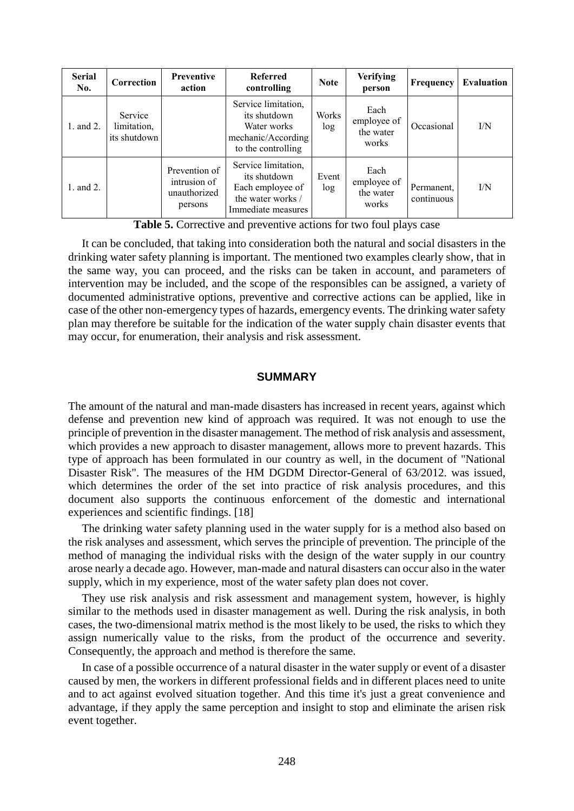| <b>Serial</b><br>No. | Correction                             | <b>Preventive</b><br>action                              | <b>Referred</b><br>controlling                                                                     | <b>Note</b>  | Verifying<br>person                       | <b>Frequency</b>         | <b>Evaluation</b> |
|----------------------|----------------------------------------|----------------------------------------------------------|----------------------------------------------------------------------------------------------------|--------------|-------------------------------------------|--------------------------|-------------------|
| 1. and 2.            | Service<br>limitation,<br>its shutdown |                                                          | Service limitation,<br>its shutdown<br>Water works<br>mechanic/According<br>to the controlling     | Works<br>log | Each<br>employee of<br>the water<br>works | Occasional               | I/N               |
| 1. and 2.            |                                        | Prevention of<br>intrusion of<br>unauthorized<br>persons | Service limitation,<br>its shutdown<br>Each employee of<br>the water works /<br>Immediate measures | Event<br>log | Each<br>employee of<br>the water<br>works | Permanent.<br>continuous | I/N               |

**Table 5.** Corrective and preventive actions for two foul plays case

It can be concluded, that taking into consideration both the natural and social disasters in the drinking water safety planning is important. The mentioned two examples clearly show, that in the same way, you can proceed, and the risks can be taken in account, and parameters of intervention may be included, and the scope of the responsibles can be assigned, a variety of documented administrative options, preventive and corrective actions can be applied, like in case of the other non-emergency types of hazards, emergency events. The drinking water safety plan may therefore be suitable for the indication of the water supply chain disaster events that may occur, for enumeration, their analysis and risk assessment.

### **SUMMARY**

The amount of the natural and man-made disasters has increased in recent years, against which defense and prevention new kind of approach was required. It was not enough to use the principle of prevention in the disaster management. The method of risk analysis and assessment, which provides a new approach to disaster management, allows more to prevent hazards. This type of approach has been formulated in our country as well, in the document of "National Disaster Risk". The measures of the HM DGDM Director-General of 63/2012. was issued, which determines the order of the set into practice of risk analysis procedures, and this document also supports the continuous enforcement of the domestic and international experiences and scientific findings. [18]

The drinking water safety planning used in the water supply for is a method also based on the risk analyses and assessment, which serves the principle of prevention. The principle of the method of managing the individual risks with the design of the water supply in our country arose nearly a decade ago. However, man-made and natural disasters can occur also in the water supply, which in my experience, most of the water safety plan does not cover.

They use risk analysis and risk assessment and management system, however, is highly similar to the methods used in disaster management as well. During the risk analysis, in both cases, the two-dimensional matrix method is the most likely to be used, the risks to which they assign numerically value to the risks, from the product of the occurrence and severity. Consequently, the approach and method is therefore the same.

In case of a possible occurrence of a natural disaster in the water supply or event of a disaster caused by men, the workers in different professional fields and in different places need to unite and to act against evolved situation together. And this time it's just a great convenience and advantage, if they apply the same perception and insight to stop and eliminate the arisen risk event together.